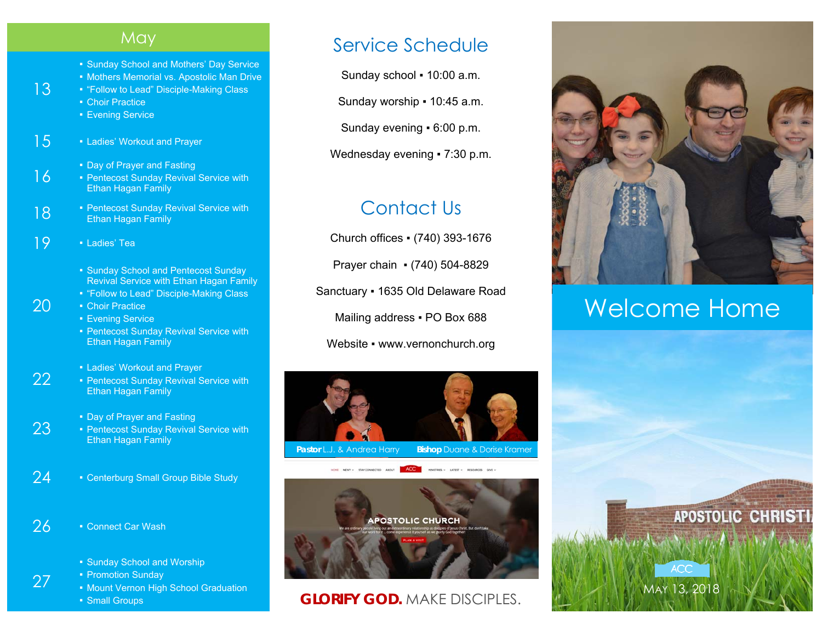#### **May**

- Sunday School and Mothers' Day Service
- **Mothers Memorial vs. Apostolic Man Drive**
- "Follow to Lead" Disciple-Making Class
- Choir Practice

13

16

20

27

- Evening Service
- 15 Ladies' Workout and Prayer
	- Day of Prayer and Fasting
	- **Pentecost Sunday Revival Service with Ethan Hagan Family**
- **18** Pentecost Sunday Revival Service with Ethan Hagan Family
- 19 · Ladies' Tea
	- **Sunday School and Pentecost Sunday** Revival Service with Ethan Hagan Family
	- "Follow to Lead" Disciple-Making Class
	- Choir Practice
	- Evening Service
	- **Pentecost Sunday Revival Service with** Ethan Hagan Family
	- **Examble 1 Ladies' Workout and Prayer**
- 22 **• Pentecost Sunday Revival Service with** Ethan Hagan Family
	- **Day of Prayer and Fasting**
- 23 ■ Pentecost Sunday Revival Service with Ethan Hagan Family
- 24 Centerburg Small Group Bible Study
- 26 Connect Car Wash
	- **Sunday School and Worship**
	- Promotion Sunday
	- **Mount Vernon High School Graduation**
	- **Small Groups**

### Service Schedule

Sunday school ▪ 10:00 a.m.

Sunday worship ▪ 10:45 a.m.

Sunday evening ▪ 6:00 p.m.

Wednesday evening • 7:30 p.m.

## Contact Us

Church offices ▪ (740) 393-1676

Prayer chain ▪ (740) 504-8829

Sanctuary ▪ 1635 Old Delaware Road

Mailing address . PO Box 688

Website • www.vernonchurch.org





#### **GLORIFY GOD.** MAKE DISCIPLES.



# Welcome Home

MAY 13, 2018

**ACC**